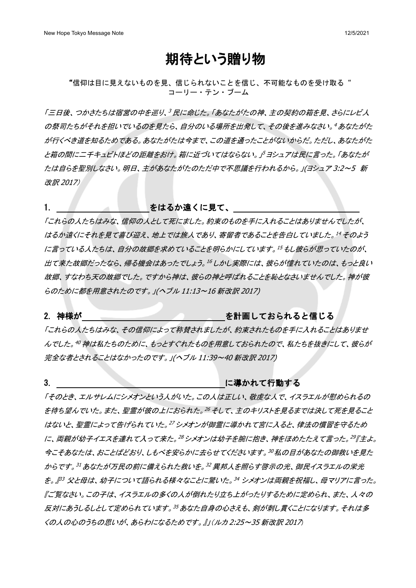# 期待という贈り物

"信仰は目に見えないものを見、信じられないことを信じ、不可能なものを受け取る" コーリー・テン・ブーム

「三日後、つかさたちは宿営の中を巡り、<sup>3</sup>民に命じた。「あなたがたの神、主の契約の箱を見、さらにレビ人 の祭司たちがそれを担いでいるのを見たら、自分のいる場所を出発して、その後を進みなさい。<sup>4</sup> あなたがた が行くべき道を知るためである。あなたがたは今まで、この道を通ったことがないからだ。ただし、あなたがた と箱の間に二千キュビトほどの距離をおけ。箱に近づいてはならない。 ドヨシュアは民に言った。 「あなたが たは自らを聖別しなさい。明日、主があなたがたのただ中で不思議を行われるから。」(ヨシュア 3:2~5 新 改訳 2017)

### 1. きゅうしゃ こうしゃ をはるか遠くに見て、 しんしょう

「これらの人たちはみな、信仰の人として死にました。約束のものを手に入れることはありませんでしたが、 はるか遠くにそれを見て喜び迎え、地上では旅人であり、寄留者であることを告白していました。<sup>14</sup> そのよう に言っている人たちは、自分の故郷を求めていることを明らかにしています。<sup>15</sup> もし彼らが思っていたのが、 出て来た故郷だったなら、帰る機会はあったでしょう。<sup>16</sup> しかし実際には、彼らが憧れていたのは、もっと良い 故郷、すなわち天の故郷でした。ですから神は、彼らの神と呼ばれることを恥となさいませんでした。神が彼 らのために都を用意されたのです。」(ヘブル 11:13~16 新改訳 2017)

#### 2. 神様が しんじん しゅうしん こうしん を計画しておられると信じる

「これらの人たちはみな、その信仰によって称賛されましたが、約束されたものを手に入れることはありませ んでした。<sup>40</sup> 神は私たちのために、もっとすぐれたものを用意しておられたので、私たちを抜きにして、彼らが 完全な者とされることはなかったのです。」(ヘブル 11:39~40 新改訳 2017)

#### 3. とのこと こうしょう こうしょう に導かれて行動する

「そのとき、エルサレムにシメオンという人がいた。この人は正しい、敬虔な人で、イスラエルが慰められるの を待ち望んでいた。また、聖霊が彼の上におられた。<sup>26</sup> そして、主のキリストを見るまでは決して死を見ること はないと、聖霊によって告げられていた。<sup>27</sup> シメオンが御霊に導かれて宮に入ると、律法の慣習を守るため に、両親が幼子イエスを連れて入って来た。<sup>28</sup>シメオンは幼子を腕に抱き、神をほめたたえて言った。<sup>29</sup>『主よ。 今こそあなたは、おことばどおり、しもべを安らかに去らせてくださいます。<sup>30</sup> 私の目があなたの御救いを見た からです。<sup>31</sup> あなたが万民の前に備えられた救いを。<sup>32</sup> 異邦人を照らす啓示の光、御民イスラエルの栄光 を。』<sup>p3</sup> 父と母は、幼子について語られる様々なことに驚いた。<sup>34</sup> シメオンは両親を祝福し、母マリアに言った。 『ご覧なさい。この子は、イスラエルの多くの人が倒れたり立ち上がったりするために定められ、また、人々の 反対にあうしるしとして定められています。<sup>35</sup> あなた自身の心さえも、剣が刺し貫くことになります。それは多 くの人の心のうちの思いが、あらわになるためです。』」(ルカ 2:25~35 新改訳 2017)